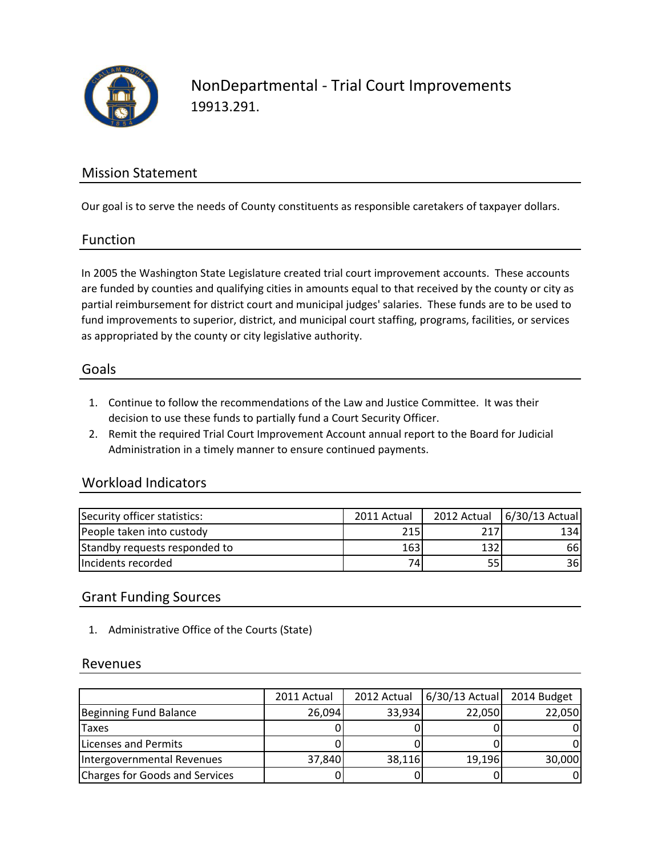

NonDepartmental - Trial Court Improvements 19913.291.

## Mission Statement

Our goal is to serve the needs of County constituents as responsible caretakers of taxpayer dollars.

### Function

In 2005 the Washington State Legislature created trial court improvement accounts. These accounts are funded by counties and qualifying cities in amounts equal to that received by the county or city as partial reimbursement for district court and municipal judges' salaries. These funds are to be used to fund improvements to superior, district, and municipal court staffing, programs, facilities, or services as appropriated by the county or city legislative authority.

#### Goals

- 1. Continue to follow the recommendations of the Law and Justice Committee. It was their decision to use these funds to partially fund a Court Security Officer.
- 2. Remit the required Trial Court Improvement Account annual report to the Board for Judicial Administration in a timely manner to ensure continued payments.

### Workload Indicators

| Security officer statistics:  | 2011 Actual |     | 2012 Actual 6/30/13 Actual |
|-------------------------------|-------------|-----|----------------------------|
| People taken into custody     | 215         | 217 | 1341                       |
| Standby requests responded to | 163         | 132 | 66                         |
| Incidents recorded            | 74ı         |     | 36I                        |

## Grant Funding Sources

1. Administrative Office of the Courts (State)

#### Revenues

|                                | 2011 Actual |        | 2012 Actual   6/30/13 Actual | 2014 Budget |
|--------------------------------|-------------|--------|------------------------------|-------------|
| Beginning Fund Balance         | 26,094      | 33,934 | 22,050                       | 22,050      |
| <b>Taxes</b>                   |             |        |                              |             |
| <b>Licenses and Permits</b>    |             |        |                              |             |
| Intergovernmental Revenues     | 37,840      | 38,116 | 19,196                       | 30,000      |
| Charges for Goods and Services |             |        |                              |             |